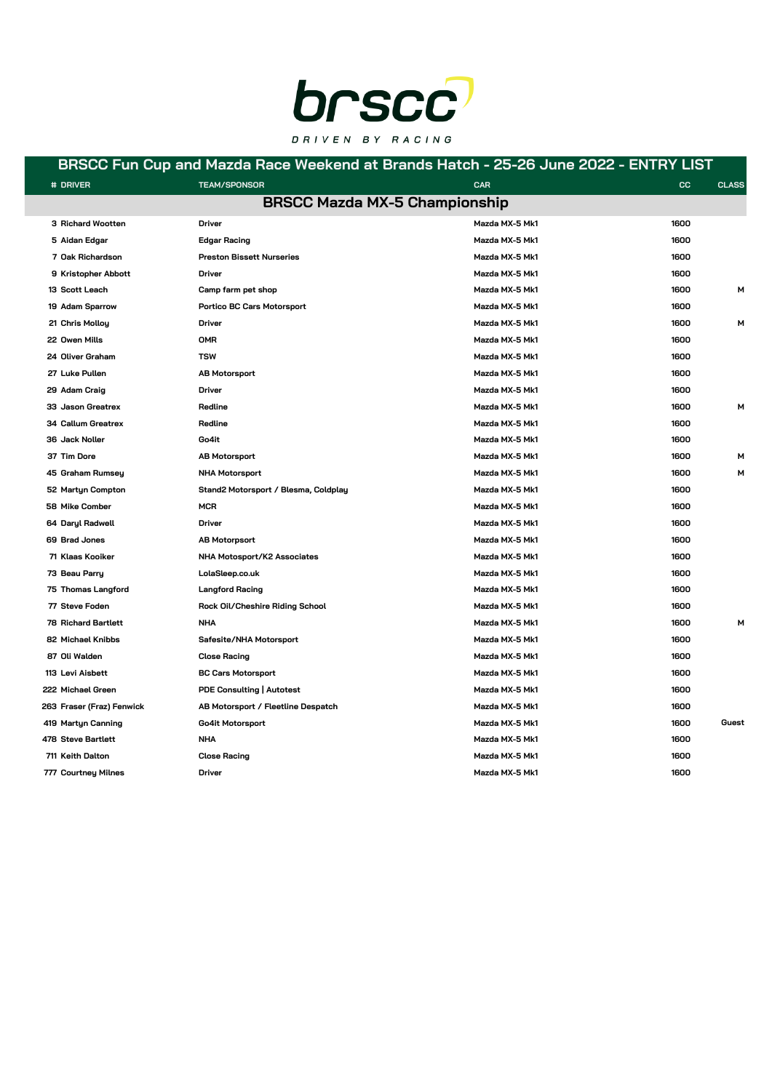

### **BRSCC Fun Cup and Mazda Race Weekend at Brands Hatch - 25-26 June 2022 - ENTRY LIST**

| # DRIVER                  | <b>TEAM/SPONSOR</b>                  | <b>CAR</b>                           | cc   | <b>CLASS</b> |
|---------------------------|--------------------------------------|--------------------------------------|------|--------------|
|                           |                                      | <b>BRSCC Mazda MX-5 Championship</b> |      |              |
| 3 Richard Wootten         | Driver                               | Mazda MX-5 Mk1                       | 1600 |              |
| 5 Aidan Edgar             | <b>Edgar Racing</b>                  | Mazda MX-5 Mk1                       | 1600 |              |
| 7 Oak Richardson          | <b>Preston Bissett Nurseries</b>     | Mazda MX-5 Mk1                       | 1600 |              |
| 9 Kristopher Abbott       | <b>Driver</b>                        | Mazda MX-5 Mk1                       | 1600 |              |
| 13 Scott Leach            | Camp farm pet shop                   | Mazda MX-5 Mk1                       | 1600 | М            |
| 19 Adam Sparrow           | Portico BC Cars Motorsport           | Mazda MX-5 Mk1                       | 1600 |              |
| 21 Chris Molloy           | <b>Driver</b>                        | Mazda MX-5 Mk1                       | 1600 | м            |
| 22 Owen Mills             | <b>OMR</b>                           | Mazda MX-5 Mk1                       | 1600 |              |
| 24 Oliver Graham          | <b>TSW</b>                           | Mazda MX-5 Mk1                       | 1600 |              |
| 27 Luke Pullen            | <b>AB Motorsport</b>                 | Mazda MX-5 Mk1                       | 1600 |              |
| 29 Adam Craig             | Driver                               | Mazda MX-5 Mk1                       | 1600 |              |
| 33 Jason Greatrex         | Redline                              | Mazda MX-5 Mk1                       | 1600 | м            |
| 34 Callum Greatrex        | Redline                              | Mazda MX-5 Mk1                       | 1600 |              |
| 36 Jack Noller            | Go4it                                | Mazda MX-5 Mk1                       | 1600 |              |
| 37 Tim Dore               | <b>AB Motorsport</b>                 | Mazda MX-5 Mk1                       | 1600 | м            |
| 45 Graham Rumsey          | <b>NHA Motorsport</b>                | Mazda MX-5 Mk1                       | 1600 | м            |
| 52 Martyn Compton         | Stand2 Motorsport / Blesma, Coldplay | Mazda MX-5 Mk1                       | 1600 |              |
| 58 Mike Comber            | <b>MCR</b>                           | Mazda MX-5 Mk1                       | 1600 |              |
| 64 Daryl Radwell          | Driver                               | Mazda MX-5 Mk1                       | 1600 |              |
| 69 Brad Jones             | <b>AB Motorpsort</b>                 | Mazda MX-5 Mk1                       | 1600 |              |
| 71 Klaas Kooiker          | NHA Motosport/K2 Associates          | Mazda MX-5 Mk1                       | 1600 |              |
| 73 Beau Parry             | LolaSleep.co.uk                      | Mazda MX-5 Mk1                       | 1600 |              |
| 75 Thomas Langford        | <b>Langford Racing</b>               | Mazda MX-5 Mk1                       | 1600 |              |
| 77 Steve Foden            | Rock Oil/Cheshire Riding School      | Mazda MX-5 Mk1                       | 1600 |              |
| 78 Richard Bartlett       | <b>NHA</b>                           | Mazda MX-5 Mk1                       | 1600 | м            |
| 82 Michael Knibbs         | Safesite/NHA Motorsport              | Mazda MX-5 Mk1                       | 1600 |              |
| 87 Oli Walden             | <b>Close Racing</b>                  | Mazda MX-5 Mk1                       | 1600 |              |
| 113 Levi Aisbett          | <b>BC Cars Motorsport</b>            | Mazda MX-5 Mk1                       | 1600 |              |
| 222 Michael Green         | PDE Consulting   Autotest            | Mazda MX-5 Mk1                       | 1600 |              |
| 263 Fraser (Fraz) Fenwick | AB Motorsport / Fleetline Despatch   | Mazda MX-5 Mk1                       | 1600 |              |
| 419 Martyn Canning        | Go4it Motorsport                     | Mazda MX-5 Mk1                       | 1600 | Guest        |
| 478 Steve Bartlett        | <b>NHA</b>                           | Mazda MX-5 Mk1                       | 1600 |              |
| 711 Keith Dalton          | <b>Close Racing</b>                  | Mazda MX-5 Mk1                       | 1600 |              |
| 777 Courtney Milnes       | Driver                               | Mazda MX-5 Mk1                       | 1600 |              |
|                           |                                      |                                      |      |              |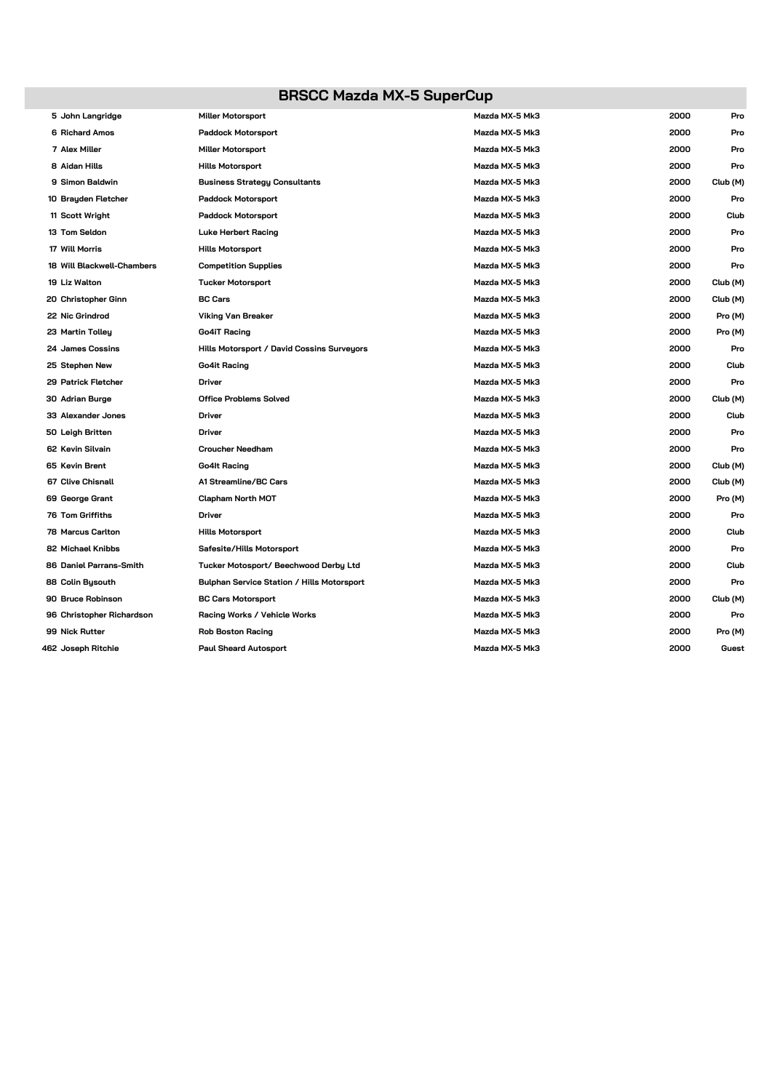# **BRSCC Mazda MX-5 SuperCup**

| 5 John Langridge           | <b>Miller Motorsport</b>                   | Mazda MX-5 Mk3 | 2000 | Pro      |
|----------------------------|--------------------------------------------|----------------|------|----------|
| 6 Richard Amos             | <b>Paddock Motorsport</b>                  | Mazda MX-5 Mk3 | 2000 | Pro      |
| 7 Alex Miller              | <b>Miller Motorsport</b>                   | Mazda MX-5 Mk3 | 2000 | Pro      |
| 8 Aidan Hills              | <b>Hills Motorsport</b>                    | Mazda MX-5 Mk3 | 2000 | Pro      |
| 9 Simon Baldwin            | <b>Business Strategy Consultants</b>       | Mazda MX-5 Mk3 | 2000 | Club (M) |
| 10 Brayden Fletcher        | <b>Paddock Motorsport</b>                  | Mazda MX-5 Mk3 | 2000 | Pro      |
| 11 Scott Wright            | <b>Paddock Motorsport</b>                  | Mazda MX-5 Mk3 | 2000 | Club     |
| 13 Tom Seldon              | <b>Luke Herbert Racing</b>                 | Mazda MX-5 Mk3 | 2000 | Pro      |
| 17 Will Morris             | <b>Hills Motorsport</b>                    | Mazda MX-5 Mk3 | 2000 | Pro      |
| 18 Will Blackwell-Chambers | <b>Competition Supplies</b>                | Mazda MX-5 Mk3 | 2000 | Pro      |
| 19 Liz Walton              | <b>Tucker Motorsport</b>                   | Mazda MX-5 Mk3 | 2000 | Club (M) |
| 20 Christopher Ginn        | <b>BC Cars</b>                             | Mazda MX-5 Mk3 | 2000 | Club (M) |
| 22 Nic Grindrod            | <b>Viking Van Breaker</b>                  | Mazda MX-5 Mk3 | 2000 | Pro (M)  |
| 23 Martin Tolley           | Go4iT Racing                               | Mazda MX-5 Mk3 | 2000 | Pro (M)  |
| 24 James Cossins           | Hills Motorsport / David Cossins Surveyors | Mazda MX-5 Mk3 | 2000 | Pro      |
| 25 Stephen New             | Go4it Racing                               | Mazda MX-5 Mk3 | 2000 | Club     |
| 29 Patrick Fletcher        | <b>Driver</b>                              | Mazda MX-5 Mk3 | 2000 | Pro      |
| 30 Adrian Burge            | <b>Office Problems Solved</b>              | Mazda MX-5 Mk3 | 2000 | Club (M) |
| 33 Alexander Jones         | Driver                                     | Mazda MX-5 Mk3 | 2000 | Club     |
| 50 Leigh Britten           | <b>Driver</b>                              | Mazda MX-5 Mk3 | 2000 | Pro      |
| 62 Kevin Silvain           | <b>Croucher Needham</b>                    | Mazda MX-5 Mk3 | 2000 | Pro      |
| 65 Kevin Brent             | Go4lt Racing                               | Mazda MX-5 Mk3 | 2000 | Club (M) |
| 67 Clive Chisnall          | A1 Streamline/BC Cars                      | Mazda MX-5 Mk3 | 2000 | Club (M) |
| 69 George Grant            | <b>Clapham North MOT</b>                   | Mazda MX-5 Mk3 | 2000 | Pro (M)  |
| <b>76 Tom Griffiths</b>    | <b>Driver</b>                              | Mazda MX-5 Mk3 | 2000 | Pro      |
| 78 Marcus Carlton          | <b>Hills Motorsport</b>                    | Mazda MX-5 Mk3 | 2000 | Club     |
| 82 Michael Knibbs          | Safesite/Hills Motorsport                  | Mazda MX-5 Mk3 | 2000 | Pro      |
| 86 Daniel Parrans-Smith    | Tucker Motosport/ Beechwood Derby Ltd      | Mazda MX-5 Mk3 | 2000 | Club     |
| 88 Colin Bysouth           | Bulphan Service Station / Hills Motorsport | Mazda MX-5 Mk3 | 2000 | Pro      |
| 90 Bruce Robinson          | <b>BC Cars Motorsport</b>                  | Mazda MX-5 Mk3 | 2000 | Club (M) |
| 96 Christopher Richardson  | Racing Works / Vehicle Works               | Mazda MX-5 Mk3 | 2000 | Pro      |
| 99 Nick Rutter             | <b>Rob Boston Racing</b>                   | Mazda MX-5 Mk3 | 2000 | Pro (M)  |
| 462 Joseph Ritchie         | <b>Paul Sheard Autosport</b>               | Mazda MX-5 Mk3 | 2000 | Guest    |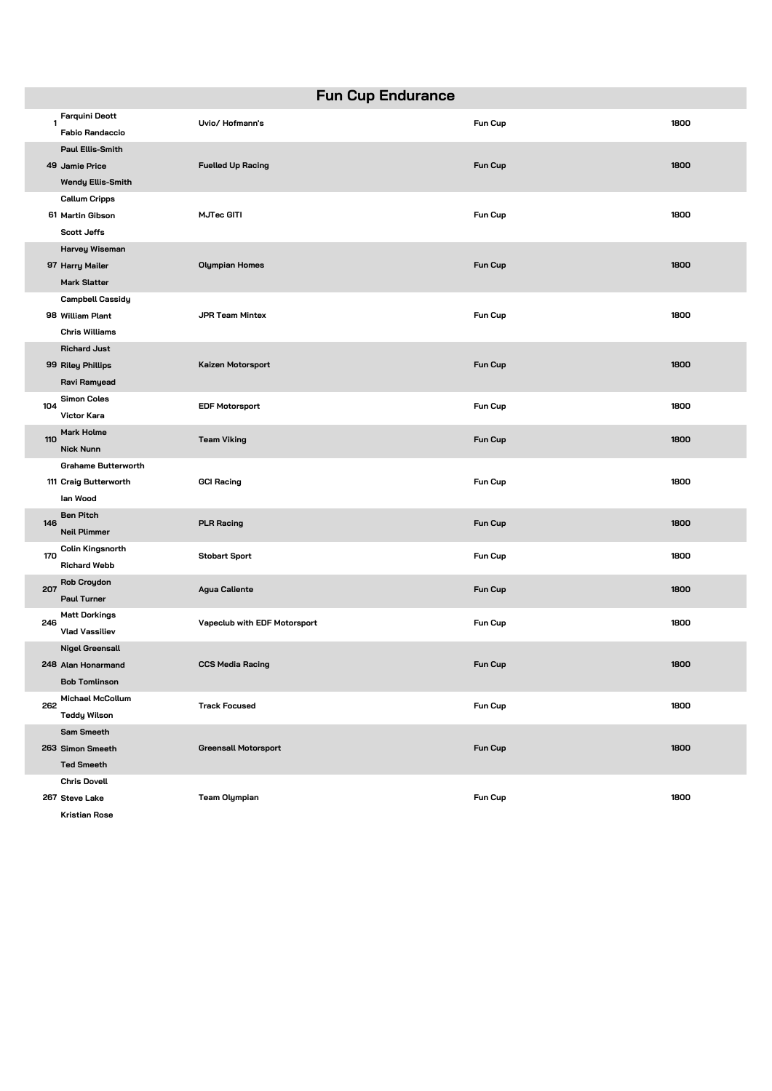| <b>Fun Cup Endurance</b> |                                                                       |                              |                |      |
|--------------------------|-----------------------------------------------------------------------|------------------------------|----------------|------|
| $\mathbf{1}$             | <b>Farquini Deott</b><br><b>Fabio Randaccio</b>                       | Uvio/Hofmann's               | Fun Cup        | 1800 |
|                          | <b>Paul Ellis-Smith</b><br>49 Jamie Price<br><b>Wendy Ellis-Smith</b> | <b>Fuelled Up Racing</b>     | <b>Fun Cup</b> | 1800 |
|                          | <b>Callum Cripps</b><br>61 Martin Gibson<br><b>Scott Jeffs</b>        | <b>MJTec GITI</b>            | Fun Cup        | 1800 |
|                          | Harvey Wiseman<br>97 Harry Mailer<br><b>Mark Slatter</b>              | <b>Olympian Homes</b>        | <b>Fun Cup</b> | 1800 |
|                          | Campbell Cassidy<br>98 William Plant<br><b>Chris Williams</b>         | <b>JPR Team Mintex</b>       | Fun Cup        | 1800 |
|                          | <b>Richard Just</b><br>99 Riley Phillips<br>Ravi Ramyead              | Kaizen Motorsport            | Fun Cup        | 1800 |
| 104                      | <b>Simon Coles</b><br>Victor Kara                                     | <b>EDF Motorsport</b>        | Fun Cup        | 1800 |
| 110                      | Mark Holme<br><b>Nick Nunn</b>                                        | <b>Team Viking</b>           | <b>Fun Cup</b> | 1800 |
|                          | <b>Grahame Butterworth</b><br>111 Craig Butterworth<br>lan Wood       | <b>GCI Racing</b>            | Fun Cup        | 1800 |
| 146                      | <b>Ben Pitch</b><br><b>Neil Plimmer</b>                               | <b>PLR Racing</b>            | Fun Cup        | 1800 |
| 170                      | Colin Kingsnorth<br><b>Richard Webb</b>                               | <b>Stobart Sport</b>         | Fun Cup        | 1800 |
| 207                      | <b>Rob Croydon</b><br><b>Paul Turner</b>                              | <b>Agua Caliente</b>         | Fun Cup        | 1800 |
| 246                      | <b>Matt Dorkings</b><br><b>Vlad Vassiliev</b>                         | Vapeclub with EDF Motorsport | Fun Cup        | 1800 |
|                          | <b>Nigel Greensall</b><br>248 Alan Honarmand<br><b>Bob Tomlinson</b>  | <b>CCS Media Racing</b>      | Fun Cup        | 1800 |
| 262                      | <b>Michael McCollum</b><br><b>Teddy Wilson</b>                        | <b>Track Focused</b>         | Fun Cup        | 1800 |
|                          | Sam Smeeth<br>263 Simon Smeeth<br><b>Ted Smeeth</b>                   | <b>Greensall Motorsport</b>  | Fun Cup        | 1800 |
|                          | <b>Chris Dovell</b><br>267 Steve Lake<br>Kristian Rose                | <b>Team Olympian</b>         | Fun Cup        | 1800 |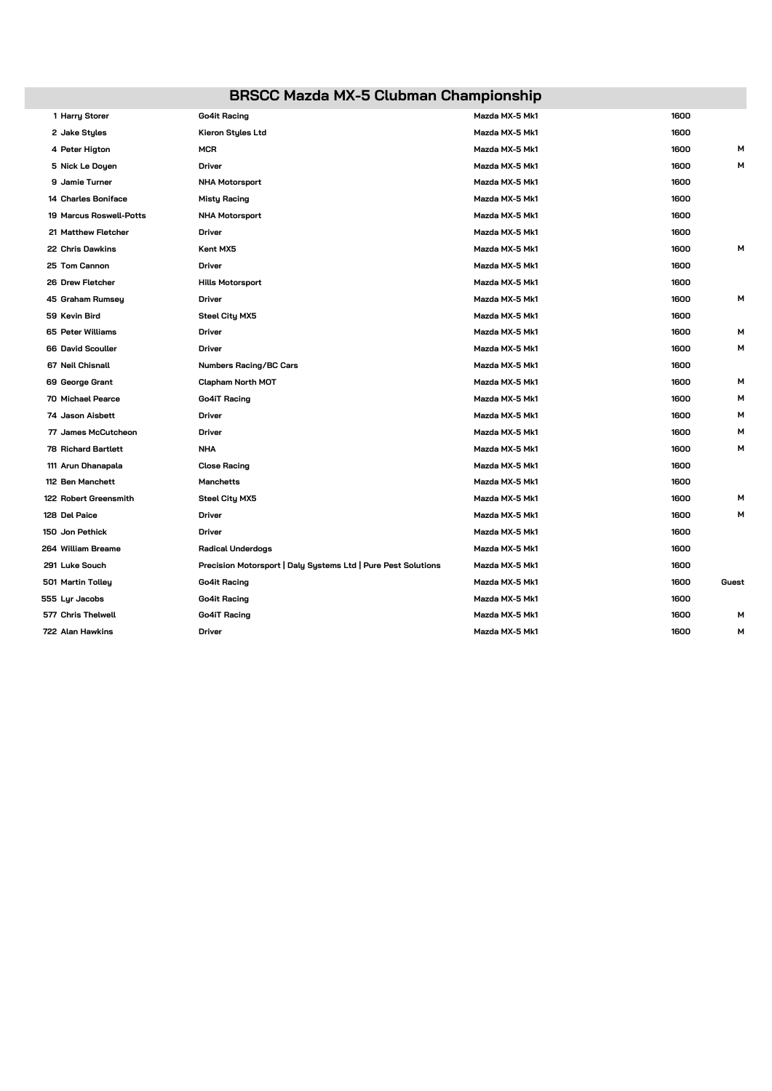# **BRSCC Mazda MX-5 Clubman Championship**

| 1 Harry Storer             | <b>Go4it Racing</b>                                           | Mazda MX-5 Mk1 | 1600 |       |
|----------------------------|---------------------------------------------------------------|----------------|------|-------|
| 2 Jake Styles              | Kieron Styles Ltd                                             | Mazda MX-5 Mk1 | 1600 |       |
| 4 Peter Higton             | <b>MCR</b>                                                    | Mazda MX-5 Mk1 | 1600 | м     |
| 5 Nick Le Doyen            | Driver                                                        | Mazda MX-5 Mk1 | 1600 | м     |
| 9 Jamie Turner             | <b>NHA Motorsport</b>                                         | Mazda MX-5 Mk1 | 1600 |       |
| 14 Charles Boniface        | <b>Misty Racing</b>                                           | Mazda MX-5 Mk1 | 1600 |       |
| 19 Marcus Roswell-Potts    | <b>NHA Motorsport</b>                                         | Mazda MX-5 Mk1 | 1600 |       |
| 21 Matthew Fletcher        | Driver                                                        | Mazda MX-5 Mk1 | 1600 |       |
| 22 Chris Dawkins           | Kent MX5                                                      | Mazda MX-5 Mk1 | 1600 | м     |
| 25 Tom Cannon              | Driver                                                        | Mazda MX-5 Mk1 | 1600 |       |
| 26 Drew Fletcher           | <b>Hills Motorsport</b>                                       | Mazda MX-5 Mk1 | 1600 |       |
| 45 Graham Rumsey           | Driver                                                        | Mazda MX-5 Mk1 | 1600 | м     |
| 59 Kevin Bird              | <b>Steel City MX5</b>                                         | Mazda MX-5 Mk1 | 1600 |       |
| 65 Peter Williams          | <b>Driver</b>                                                 | Mazda MX-5 Mk1 | 1600 | м     |
| 66 David Scouller          | Driver                                                        | Mazda MX-5 Mk1 | 1600 | м     |
| 67 Neil Chisnall           | <b>Numbers Racing/BC Cars</b>                                 | Mazda MX-5 Mk1 | 1600 |       |
| 69 George Grant            | <b>Clapham North MOT</b>                                      | Mazda MX-5 Mk1 | 1600 | м     |
| 70 Michael Pearce          | <b>Go4iT Racing</b>                                           | Mazda MX-5 Mk1 | 1600 | м     |
| 74 Jason Aisbett           | <b>Driver</b>                                                 | Mazda MX-5 Mk1 | 1600 | м     |
| 77 James McCutcheon        | <b>Driver</b>                                                 | Mazda MX-5 Mk1 | 1600 | м     |
| <b>78 Richard Bartlett</b> | <b>NHA</b>                                                    | Mazda MX-5 Mk1 | 1600 | м     |
| 111 Arun Dhanapala         | <b>Close Racing</b>                                           | Mazda MX-5 Mk1 | 1600 |       |
| 112 Ben Manchett           | Manchetts                                                     | Mazda MX-5 Mk1 | 1600 |       |
| 122 Robert Greensmith      | <b>Steel City MX5</b>                                         | Mazda MX-5 Mk1 | 1600 | м     |
| 128 Del Paice              | <b>Driver</b>                                                 | Mazda MX-5 Mk1 | 1600 | м     |
| 150 Jon Pethick            | <b>Driver</b>                                                 | Mazda MX-5 Mk1 | 1600 |       |
| 264 William Breame         | <b>Radical Underdogs</b>                                      | Mazda MX-5 Mk1 | 1600 |       |
| 291 Luke Souch             | Precision Motorsport   Daly Systems Ltd   Pure Pest Solutions | Mazda MX-5 Mk1 | 1600 |       |
| 501 Martin Tolley          | Go4it Racing                                                  | Mazda MX-5 Mk1 | 1600 | Guest |
| 555 Lyr Jacobs             | <b>Go4it Racing</b>                                           | Mazda MX-5 Mk1 | 1600 |       |
| 577 Chris Thelwell         | <b>Go4iT Racing</b>                                           | Mazda MX-5 Mk1 | 1600 | м     |
| 722 Alan Hawkins           | Driver                                                        | Mazda MX-5 Mk1 | 1600 | м     |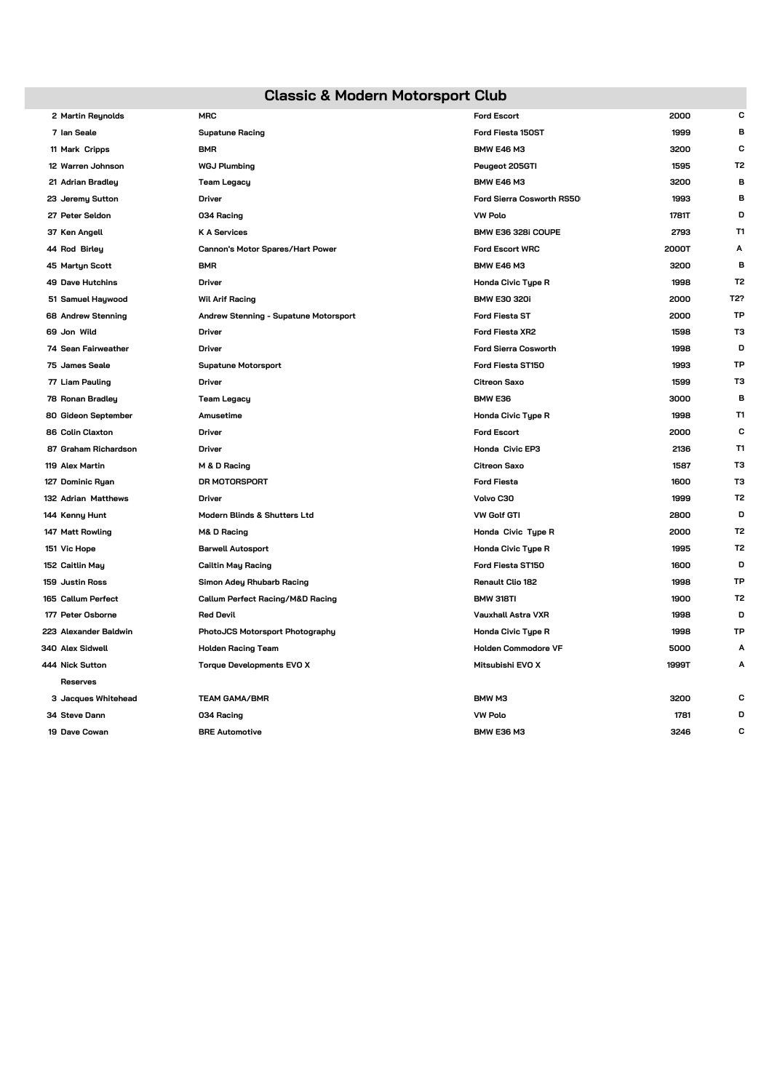### **Classic & Modern Motorsport Club**

| 2 Martin Reynolds       | <b>MRC</b>                              | <b>Ford Escort</b>          | 2000  | с              |
|-------------------------|-----------------------------------------|-----------------------------|-------|----------------|
| 7 Ian Seale             | <b>Supatune Racing</b>                  | Ford Fiesta 150ST           | 1999  | в              |
| 11 Mark Cripps          | <b>BMR</b>                              | <b>BMW E46 M3</b>           | 3200  | C              |
| 12 Warren Johnson       | <b>WGJ Plumbing</b>                     | Peugeot 205GTI              | 1595  | T <sub>2</sub> |
| 21 Adrian Bradley       | <b>Team Legacy</b>                      | <b>BMW E46 M3</b>           | 3200  | в              |
| 23 Jeremy Sutton        | <b>Driver</b>                           | Ford Sierra Cosworth RS50   | 1993  | в              |
| 27 Peter Seldon         | 034 Racing                              | <b>VW Polo</b>              | 1781T | D              |
| 37 Ken Angell           | <b>K A Services</b>                     | BMW E36 328i COUPE          | 2793  | T1             |
| 44 Rod Birley           | Cannon's Motor Spares/Hart Power        | <b>Ford Escort WRC</b>      | 2000T | Α              |
| 45 Martyn Scott         | <b>BMR</b>                              | <b>BMW E46 M3</b>           | 3200  | B              |
| <b>49 Dave Hutchins</b> | <b>Driver</b>                           | Honda Civic Type R          | 1998  | T <sub>2</sub> |
| 51 Samuel Haywood       | <b>Wil Arif Racing</b>                  | <b>BMW E30 320i</b>         | 2000  | T2?            |
| 68 Andrew Stenning      | Andrew Stenning - Supatune Motorsport   | <b>Ford Fiesta ST</b>       | 2000  | TP             |
| 69 Jon Wild             | <b>Driver</b>                           | Ford Fiesta XR2             | 1598  | тз             |
| 74 Sean Fairweather     | <b>Driver</b>                           | <b>Ford Sierra Cosworth</b> | 1998  | D              |
| 75 James Seale          | <b>Supatune Motorsport</b>              | Ford Fiesta ST150           | 1993  | TP             |
| 77 Liam Pauling         | <b>Driver</b>                           | <b>Citreon Saxo</b>         | 1599  | тз             |
| 78 Ronan Bradley        | <b>Team Legacy</b>                      | BMW E36                     | 3000  | в              |
| 80 Gideon September     | Amusetime                               | Honda Civic Type R          | 1998  | T1             |
| 86 Colin Claxton        | Driver                                  | <b>Ford Escort</b>          | 2000  | C              |
| 87 Graham Richardson    | <b>Driver</b>                           | Honda Civic EP3             | 2136  | T1             |
| 119 Alex Martin         | M & D Racing                            | <b>Citreon Saxo</b>         | 1587  | тз             |
| 127 Dominic Ryan        | DR MOTORSPORT                           | <b>Ford Fiesta</b>          | 1600  | тз             |
| 132 Adrian Matthews     | Driver                                  | Volvo C30                   | 1999  | T <sub>2</sub> |
| 144 Kenny Hunt          | <b>Modern Blinds &amp; Shutters Ltd</b> | <b>VW Golf GTI</b>          | 2800  | D              |
| 147 Matt Rowling        | M& D Racing                             | Honda Civic Type R          | 2000  | T <sub>2</sub> |
| 151 Vic Hope            | <b>Barwell Autosport</b>                | Honda Civic Type R          | 1995  | T <sub>2</sub> |
| 152 Caitlin May         | <b>Cailtin May Racing</b>               | Ford Fiesta ST150           | 1600  | D              |
| 159 Justin Ross         | Simon Adey Rhubarb Racing               | <b>Renault Clio 182</b>     | 1998  | TP             |
| 165 Callum Perfect      | Callum Perfect Racing/M&D Racing        | BMW 318TI                   | 1900  | T <sub>2</sub> |
| 177 Peter Osborne       | <b>Red Devil</b>                        | <b>Vauxhall Astra VXR</b>   | 1998  | D              |
| 223 Alexander Baldwin   | PhotoJCS Motorsport Photography         | Honda Civic Type R          | 1998  | TP             |
| 340 Alex Sidwell        | <b>Holden Racing Team</b>               | <b>Holden Commodore VF</b>  | 5000  | Α              |
| 444 Nick Sutton         | <b>Torque Developments EVO X</b>        | Mitsubishi EVO X            | 1999T | Α              |
| Reserves                |                                         |                             |       |                |
| 3 Jacques Whitehead     | <b>TEAM GAMA/BMR</b>                    | BMW <sub>M3</sub>           | 3200  | с              |
| 34 Steve Dann           | 034 Racing                              | <b>VW Polo</b>              | 1781  | D              |
| 19 Dave Cowan           | <b>BRE Automotive</b>                   | <b>BMW E36 M3</b>           | 3246  | C              |